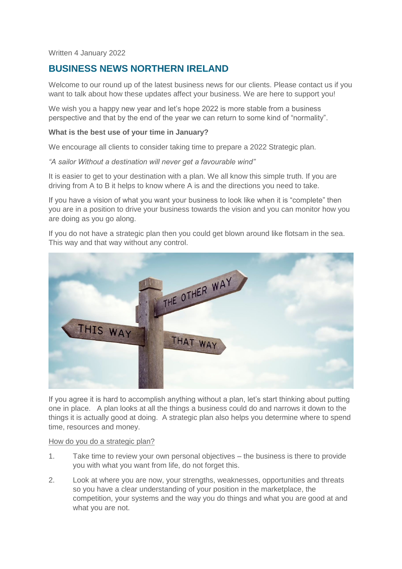Written 4 January 2022

# **BUSINESS NEWS NORTHERN IRELAND**

Welcome to our round up of the latest business news for our clients. Please contact us if you want to talk about how these updates affect your business. We are here to support you!

We wish you a happy new year and let's hope 2022 is more stable from a business perspective and that by the end of the year we can return to some kind of "normality".

## **What is the best use of your time in January?**

We encourage all clients to consider taking time to prepare a 2022 Strategic plan.

*"A sailor Without a destination will never get a favourable wind"*

It is easier to get to your destination with a plan. We all know this simple truth. If you are driving from A to B it helps to know where A is and the directions you need to take.

If you have a vision of what you want your business to look like when it is "complete" then you are in a position to drive your business towards the vision and you can monitor how you are doing as you go along.

If you do not have a strategic plan then you could get blown around like flotsam in the sea. This way and that way without any control.



If you agree it is hard to accomplish anything without a plan, let's start thinking about putting one in place. A plan looks at all the things a business could do and narrows it down to the things it is actually good at doing. A strategic plan also helps you determine where to spend time, resources and money.

## How do you do a strategic plan?

- 1. Take time to review your own personal objectives the business is there to provide you with what you want from life, do not forget this.
- 2. Look at where you are now, your strengths, weaknesses, opportunities and threats so you have a clear understanding of your position in the marketplace, the competition, your systems and the way you do things and what you are good at and what you are not.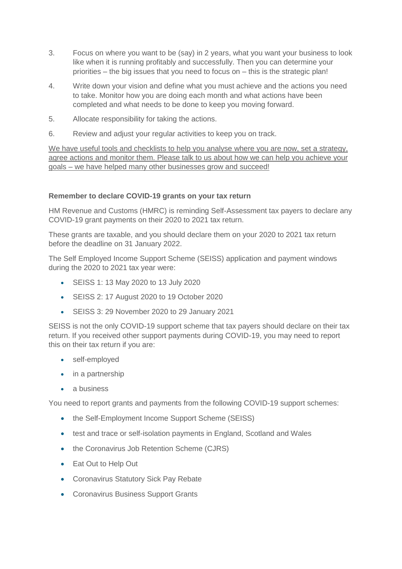- 3. Focus on where you want to be (say) in 2 years, what you want your business to look like when it is running profitably and successfully. Then you can determine your priorities – the big issues that you need to focus on – this is the strategic plan!
- 4. Write down your vision and define what you must achieve and the actions you need to take. Monitor how you are doing each month and what actions have been completed and what needs to be done to keep you moving forward.
- 5. Allocate responsibility for taking the actions.
- 6. Review and adjust your regular activities to keep you on track.

We have useful tools and checklists to help you analyse where you are now, set a strategy, agree actions and monitor them. Please talk to us about how we can help you achieve your goals – we have helped many other businesses grow and succeed!

## **Remember to declare COVID-19 grants on your tax return**

HM Revenue and Customs (HMRC) is reminding Self-Assessment tax payers to declare any COVID-19 grant payments on their 2020 to 2021 tax return.

These grants are taxable, and you should declare them on your 2020 to 2021 tax return before the deadline on 31 January 2022.

The Self Employed Income Support Scheme (SEISS) application and payment windows during the 2020 to 2021 tax year were:

- SEISS 1: 13 May 2020 to 13 July 2020
- SEISS 2: 17 August 2020 to 19 October 2020
- SEISS 3: 29 November 2020 to 29 January 2021

SEISS is not the only COVID-19 support scheme that tax payers should declare on their tax return. If you received other support payments during COVID-19, you may need to report this on their tax return if you are:

- self-employed
- in a partnership
- a business

You need to report grants and payments from the following COVID-19 support schemes:

- the Self-Employment Income Support Scheme (SEISS)
- test and trace or self-isolation payments in England, Scotland and Wales
- the Coronavirus Job Retention Scheme (CJRS)
- Eat Out to Help Out
- Coronavirus Statutory Sick Pay Rebate
- Coronavirus Business Support Grants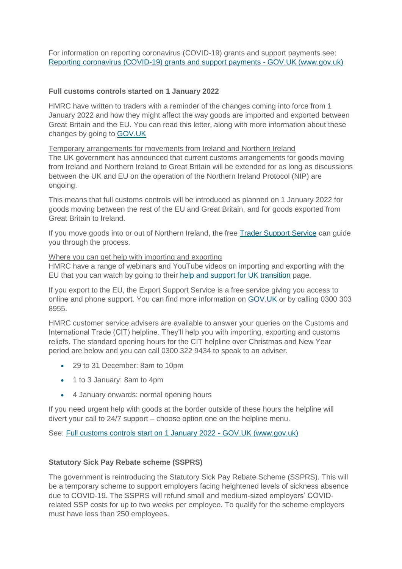For information on reporting coronavirus (COVID-19) grants and support payments see: [Reporting coronavirus \(COVID-19\) grants and support payments -](https://www.gov.uk/guidance/reporting-coronavirus-covid-19-grants-and-support-payments) GOV.UK (www.gov.uk)

## **Full customs controls started on 1 January 2022**

HMRC have written to traders with a reminder of the changes coming into force from 1 January 2022 and how they might affect the way goods are imported and exported between Great Britain and the EU. You can read this letter, along with more information about these changes by going to [GOV.UK](https://www.gov.uk/government/publications/letters-to-businesses-about-importing-and-exporting-goods-between-great-britain-and-the-eu)

Temporary arrangements for movements from Ireland and Northern Ireland

The UK government has announced that current customs arrangements for goods moving from Ireland and Northern Ireland to Great Britain will be extended for as long as discussions between the UK and EU on the operation of the Northern Ireland Protocol (NIP) are ongoing.

This means that full customs controls will be introduced as planned on 1 January 2022 for goods moving between the rest of the EU and Great Britain, and for goods exported from Great Britain to Ireland.

If you move goods into or out of Northern Ireland, the free [Trader Support Service](https://www.gov.uk/guidance/trader-support-service) can guide you through the process.

## Where you can get help with importing and exporting

HMRC have a range of webinars and YouTube videos on importing and exporting with the EU that you can watch by going to their [help and support for UK transition](https://www.gov.uk/guidance/help-and-support-for-uk-transition) page.

If you export to the EU, the Export Support Service is a free service giving you access to online and phone support. You can find more information on [GOV.UK](https://www.gov.uk/ask-export-support-team) or by calling 0300 303 8955.

HMRC customer service advisers are available to answer your queries on the Customs and International Trade (CIT) helpline. They'll help you with importing, exporting and customs reliefs. The standard opening hours for the CIT helpline over Christmas and New Year period are below and you can call 0300 322 9434 to speak to an adviser.

- 29 to 31 December: 8am to 10pm
- 1 to 3 January: 8am to 4pm
- 4 January onwards: normal opening hours

If you need urgent help with goods at the border outside of these hours the helpline will divert your call to 24/7 support – choose option one on the helpline menu.

See: [Full customs controls start on 1 January 2022 -](https://www.gov.uk/government/news/less-than-a-month-until-full-customs-controls-are-introduced) GOV.UK (www.gov.uk)

# **Statutory Sick Pay Rebate scheme (SSPRS)**

The government is reintroducing the Statutory Sick Pay Rebate Scheme (SSPRS). This will be a temporary scheme to support employers facing heightened levels of sickness absence due to COVID-19. The SSPRS will refund small and medium-sized employers' COVIDrelated SSP costs for up to two weeks per employee. To qualify for the scheme employers must have less than 250 employees.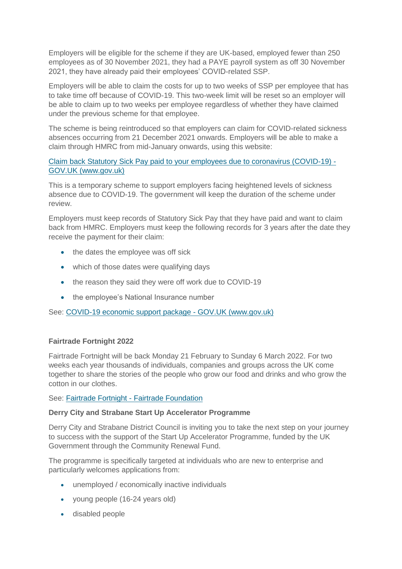Employers will be eligible for the scheme if they are UK-based, employed fewer than 250 employees as of 30 November 2021, they had a PAYE payroll system as off 30 November 2021, they have already paid their employees' COVID-related SSP.

Employers will be able to claim the costs for up to two weeks of SSP per employee that has to take time off because of COVID-19. This two-week limit will be reset so an employer will be able to claim up to two weeks per employee regardless of whether they have claimed under the previous scheme for that employee.

The scheme is being reintroduced so that employers can claim for COVID-related sickness absences occurring from 21 December 2021 onwards. Employers will be able to make a claim through HMRC from mid-January onwards, using this website:

# [Claim back Statutory Sick Pay paid to your employees due to coronavirus \(COVID-19\) -](https://www.gov.uk/guidance/claim-back-statutory-sick-pay-paid-to-your-employees-due-to-coronavirus-covid-19) [GOV.UK \(www.gov.uk\)](https://www.gov.uk/guidance/claim-back-statutory-sick-pay-paid-to-your-employees-due-to-coronavirus-covid-19)

This is a temporary scheme to support employers facing heightened levels of sickness absence due to COVID-19. The government will keep the duration of the scheme under review.

Employers must keep records of Statutory Sick Pay that they have paid and want to claim back from HMRC. Employers must keep the following records for 3 years after the date they receive the payment for their claim:

- the dates the employee was off sick
- which of those dates were qualifying days
- the reason they said they were off work due to COVID-19
- the employee's National Insurance number

See: [COVID-19 economic support package -](https://www.gov.uk/government/publications/covid-19-economic-support-package) GOV.UK (www.gov.uk)

## **Fairtrade Fortnight 2022**

Fairtrade Fortnight will be back Monday 21 February to Sunday 6 March 2022. For two weeks each year thousands of individuals, companies and groups across the UK come together to share the stories of the people who grow our food and drinks and who grow the cotton in our clothes.

See: Fairtrade Fortnight - [Fairtrade Foundation](https://www.fairtrade.org.uk/get-involved/current-campaigns/Fairtrade-Fortnight/)

## **Derry City and Strabane Start Up Accelerator Programme**

Derry City and Strabane District Council is inviting you to take the next step on your journey to success with the support of the Start Up Accelerator Programme, funded by the UK Government through the Community Renewal Fund.

The programme is specifically targeted at individuals who are new to enterprise and particularly welcomes applications from:

- unemployed / economically inactive individuals
- young people (16-24 years old)
- disabled people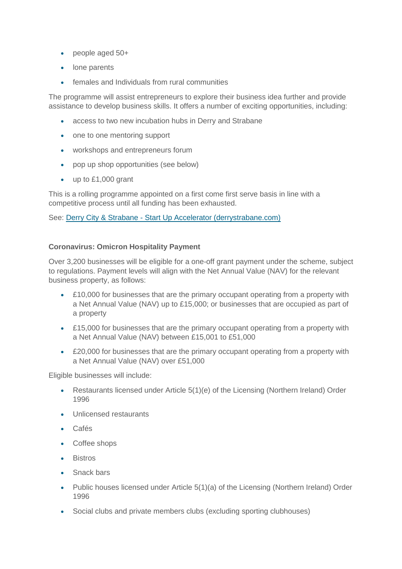- people aged 50+
- lone parents
- females and Individuals from rural communities

The programme will assist entrepreneurs to explore their business idea further and provide assistance to develop business skills. It offers a number of exciting opportunities, including:

- access to two new incubation hubs in Derry and Strabane
- one to one mentoring support
- workshops and entrepreneurs forum
- pop up shop opportunities (see below)
- up to £1,000 grant

This is a rolling programme appointed on a first come first serve basis in line with a competitive process until all funding has been exhausted.

See: Derry City & Strabane - [Start Up Accelerator \(derrystrabane.com\)](https://www.derrystrabane.com/Business/Business-Support/Start-Up-Accelerator)

## **Coronavirus: Omicron Hospitality Payment**

Over 3,200 businesses will be eligible for a one-off grant payment under the scheme, subject to regulations. Payment levels will align with the Net Annual Value (NAV) for the relevant business property, as follows:

- £10,000 for businesses that are the primary occupant operating from a property with a Net Annual Value (NAV) up to £15,000; or businesses that are occupied as part of a property
- £15,000 for businesses that are the primary occupant operating from a property with a Net Annual Value (NAV) between £15,001 to £51,000
- £20,000 for businesses that are the primary occupant operating from a property with a Net Annual Value (NAV) over £51,000

Eligible businesses will include:

- Restaurants licensed under Article 5(1)(e) of the Licensing (Northern Ireland) Order 1996
- Unlicensed restaurants
- Cafés
- Coffee shops
- **•** Bistros
- Snack bars
- Public houses licensed under Article 5(1)(a) of the Licensing (Northern Ireland) Order 1996
- Social clubs and private members clubs (excluding sporting clubhouses)